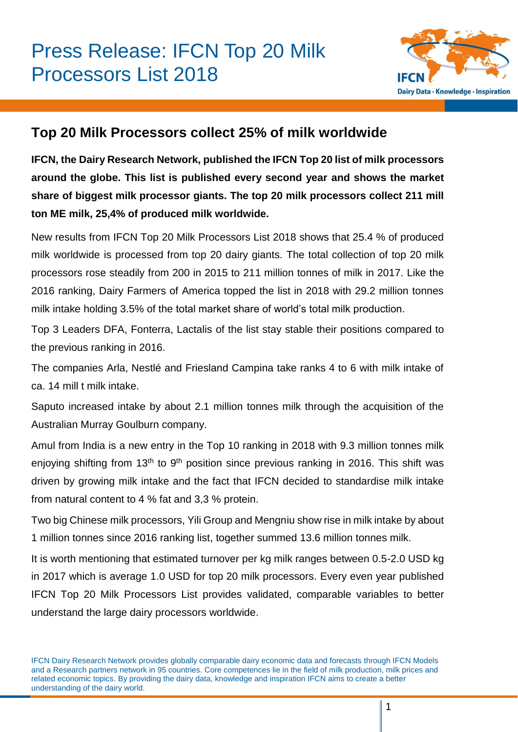

# **Top 20 Milk Processors collect 25% of milk worldwide**

**IFCN, the Dairy Research Network, published the IFCN Top 20 list of milk processors around the globe. This list is published every second year and shows the market share of biggest milk processor giants. The top 20 milk processors collect 211 mill ton ME milk, 25,4% of produced milk worldwide.**

New results from IFCN Top 20 Milk Processors List 2018 shows that 25.4 % of produced milk worldwide is processed from top 20 dairy giants. The total collection of top 20 milk processors rose steadily from 200 in 2015 to 211 million tonnes of milk in 2017. Like the 2016 ranking, Dairy Farmers of America topped the list in 2018 with 29.2 million tonnes milk intake holding 3.5% of the total market share of world's total milk production.

Top 3 Leaders DFA, Fonterra, Lactalis of the list stay stable their positions compared to the previous ranking in 2016.

The companies Arla, Nestlé and Friesland Campina take ranks 4 to 6 with milk intake of ca. 14 mill t milk intake.

Saputo increased intake by about 2.1 million tonnes milk through the acquisition of the Australian Murray Goulburn company.

Amul from India is a new entry in the Top 10 ranking in 2018 with 9.3 million tonnes milk enjoying shifting from 13<sup>th</sup> to 9<sup>th</sup> position since previous ranking in 2016. This shift was driven by growing milk intake and the fact that IFCN decided to standardise milk intake from natural content to 4 % fat and 3,3 % protein.

Two big Chinese milk processors, Yili Group and Mengniu show rise in milk intake by about 1 million tonnes since 2016 ranking list, together summed 13.6 million tonnes milk.

It is worth mentioning that estimated turnover per kg milk ranges between 0.5-2.0 USD kg in 2017 which is average 1.0 USD for top 20 milk processors. Every even year published IFCN Top 20 Milk Processors List provides validated, comparable variables to better understand the large dairy processors worldwide.

IFCN Dairy Research Network provides globally comparable dairy economic data and forecasts through IFCN Models and a Research partners network in 95 countries. Core competences lie in the field of milk production, milk prices and related economic topics. By providing the dairy data, knowledge and inspiration IFCN aims to create a better understanding of the dairy world.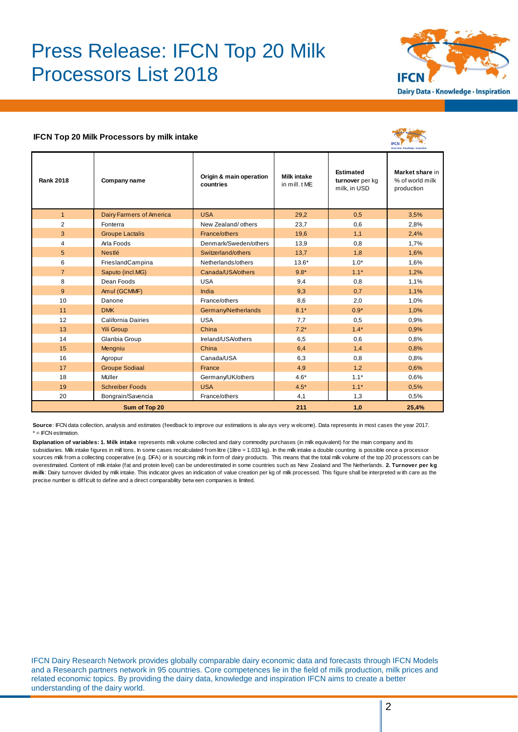# Press Release: IFCN Top 20 Milk Processors List 2018



#### **IFCN Top 20 Milk Processors by milk intake**



|                  |                                 |                                      |                                    |                                                     | Dairy Data - Knowledge - Inspiration             |
|------------------|---------------------------------|--------------------------------------|------------------------------------|-----------------------------------------------------|--------------------------------------------------|
| <b>Rank 2018</b> | Company name                    | Origin & main operation<br>countries | <b>Milk intake</b><br>in mill. tME | <b>Estimated</b><br>turnover per kg<br>milk, in USD | Market share in<br>% of world milk<br>production |
| $\mathbf{1}$     | <b>Dairy Farmers of America</b> | <b>USA</b>                           | 29,2                               | 0,5                                                 | 3,5%                                             |
| 2                | Fonterra                        | New Zealand/ others                  | 23,7                               | 0,6                                                 | 2,8%                                             |
| 3                | <b>Groupe Lactalis</b>          | France/others                        | 19,6                               | 1,1                                                 | 2,4%                                             |
| 4                | Arla Foods                      | Denmark/Sweden/others                | 13,9                               | 0,8                                                 | 1,7%                                             |
| 5                | Nestlé                          | Switzerland/others                   | 13,7                               | 1,8                                                 | 1,6%                                             |
| 6                | FrieslandCampina                | Netherlands/others                   | $13.6*$                            | $1.0*$                                              | 1,6%                                             |
| $\overline{7}$   | Saputo (incl.MG)                | Canada/USA/others                    | $9.8*$                             | $1.1*$                                              | 1,2%                                             |
| 8                | Dean Foods                      | <b>USA</b>                           | 9,4                                | 0,8                                                 | 1,1%                                             |
| 9                | Amul (GCMMF)                    | India                                | 9,3                                | 0,7                                                 | 1,1%                                             |
| 10               | Danone                          | France/others                        | 8,6                                | 2,0                                                 | 1,0%                                             |
| 11               | <b>DMK</b>                      | Germany/Netherlands                  | $8.1*$                             | $0.9*$                                              | 1,0%                                             |
| 12               | California Dairies              | <b>USA</b>                           | 7,7                                | 0,5                                                 | 0,9%                                             |
| 13               | <b>Yili Group</b>               | China                                | $7.2*$                             | $1.4*$                                              | 0,9%                                             |
| 14               | Glanbia Group                   | Ireland/USA/others                   | 6,5                                | 0,6                                                 | 0,8%                                             |
| 15               | Mengniu                         | China                                | 6,4                                | 1,4                                                 | 0.8%                                             |
| 16               | Agropur                         | Canada/USA                           | 6,3                                | 0,8                                                 | 0,8%                                             |
| 17               | <b>Groupe Sodiaal</b>           | France                               | 4,9                                | 1,2                                                 | 0.6%                                             |
| 18               | Müller                          | Germany/UK/others                    | $4.6*$                             | $1.1*$                                              | 0.6%                                             |
| 19               | <b>Schreiber Foods</b>          | <b>USA</b>                           | $4.5*$                             | $1.1*$                                              | 0,5%                                             |
| 20               | Bongrain/Savencia               | France/others                        | 4,1                                | 1,3                                                 | 0,5%                                             |
| Sum of Top 20    |                                 |                                      | 211                                | 1,0                                                 | 25,4%                                            |

**Source**: IFCN data collection, analysis and estimates (feedback to improve our estimations is alw ays very w elcome). Data represents in most cases the year 2017. \* = IFCN estimation.

**Explanation of variables: 1. Milk intake** represents milk volume collected and dairy commodity purchases (in milk equivalent) for the main company and its subsidiaries. Milk intake figures in mill tons. In some cases recalculated from litre (1litre = 1.033 kg). In the milk intake a double counting is possible once a processor sources milk from a collecting cooperative (e.g. DFA) or is sourcing milk in form of dairy products. This means that the total milk volume of the top 20 processors can be \* = IFCN estimation.<br>**Explanation of variables: 1. Milk intake** represents milk volume collected and dairy commodity purchases (in milk equivalent) for the main company and its<br>subsidiaries. Mik intake figures in mill tons **Explanation of variables: 1. Milk intake** represents milk volume collected and dairy commodity purchases (in milk equivalent) for the main company and its subsidiaries. Milk intake figures in mill tons. In some cases reca expainance of such a subsidiaries. Mik intake figures in mill tons. In some cases recalculated from litre (1litre = 1.0<br>sources milk from a collecting cooperative (e.g. DFA) or is sourcing milk in form of dairy prodoverest

IFCN Dairy Research Network provides globally comparable dairy economic data and forecasts through IFCN Models and a Research partners network in 95 countries. Core competences lie in the field of milk production, milk prices and related economic topics. By providing the dairy data, knowledge and inspiration IFCN aims to create a better understanding of the dairy world.